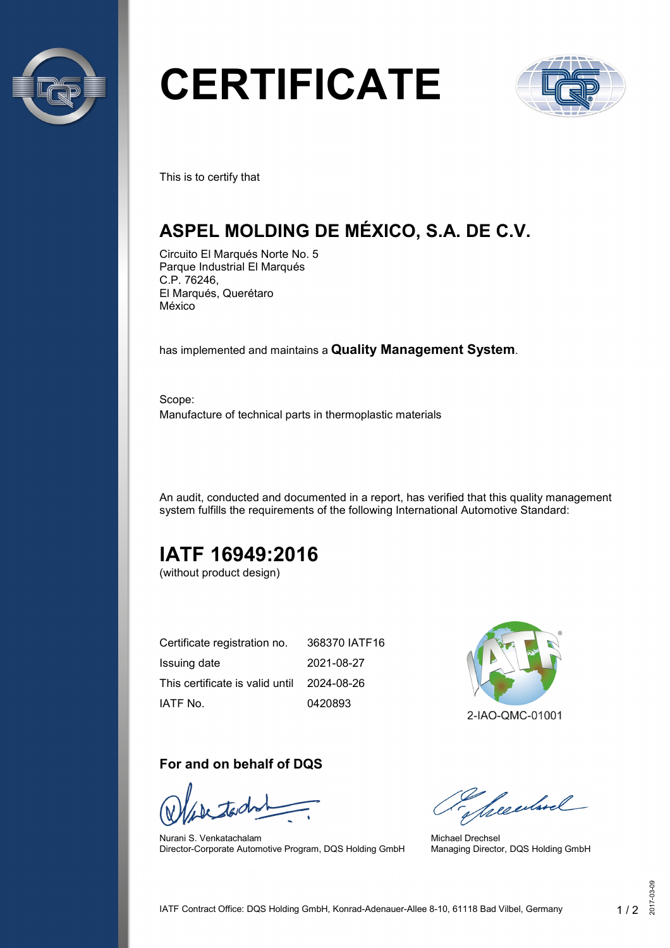

# **CERTIFICATE**



This is to certify that

## **ASPEL MOLDING DE MÉXICO, S.A. DE C.V.**

Circuito El Marqués Norte No. 5 Parque Industrial El Marqués C.P. 76246, El Marqués, Querétaro México

has implemented and maintains a **Quality Management System**.

Scope: Manufacture of technical parts in thermoplastic materials

An audit, conducted and documented in a report, has verified that this quality management system fulfills the requirements of the following International Automotive Standard:

# **IATF 16949:2016**

(without product design)

| Certificate registration no.               | 368370 IATF16 |
|--------------------------------------------|---------------|
| Issuing date                               | 2021-08-27    |
| This certificate is valid until 2024-08-26 |               |
| IATF No.                                   | 0420893       |

## **For and on behalf of DQS**

Nurani S. Venkatachalam Director-Corporate Automotive Program, DQS Holding GmbH



Seculard

Michael Drechsel Managing Director, DQS Holding GmbH

 $\frac{3}{2}$ <br> $\frac{3}{2}$ <br> $\frac{3}{2}$ <br> $\frac{3}{2}$ <br> $\frac{3}{2}$